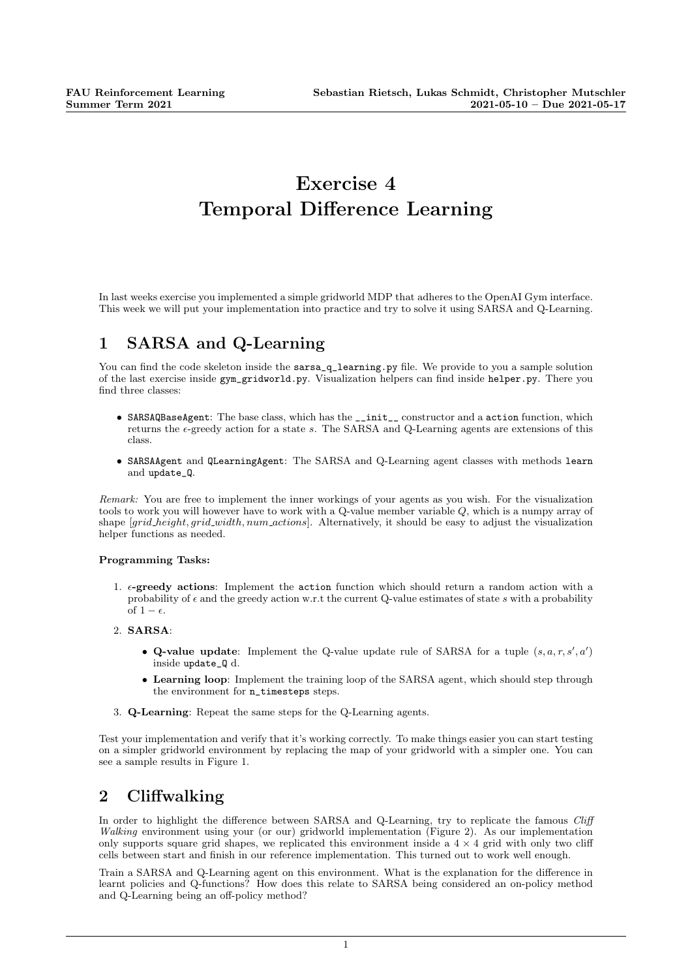## Exercise 4 Temporal Difference Learning

In last weeks exercise you implemented a simple gridworld MDP that adheres to the OpenAI Gym interface. This week we will put your implementation into practice and try to solve it using SARSA and Q-Learning.

## 1 SARSA and Q-Learning

You can find the code skeleton inside the sarsa<sub>gger</sub> learning.py file. We provide to you a sample solution of the last exercise inside gym\_gridworld.py. Visualization helpers can find inside helper.py. There you find three classes:

- SARSAQBaseAgent: The base class, which has the \_\_init\_\_ constructor and a action function, which returns the  $\epsilon$ -greedy action for a state s. The SARSA and Q-Learning agents are extensions of this class.
- SARSAAgent and QLearningAgent: The SARSA and Q-Learning agent classes with methods learn and update\_Q.

Remark: You are free to implement the inner workings of your agents as you wish. For the visualization tools to work you will however have to work with a Q-value member variable Q, which is a numpy array of shape [grid\_height, grid\_width, num\_actions]. Alternatively, it should be easy to adjust the visualization helper functions as needed.

## Programming Tasks:

- 1.  $\epsilon$ -greedy actions: Implement the action function which should return a random action with a probability of  $\epsilon$  and the greedy action w.r.t the current Q-value estimates of state s with a probability of  $1 - \epsilon$
- 2. SARSA:
	- Q-value update: Implement the Q-value update rule of SARSA for a tuple  $(s, a, r, s', a')$ inside update\_Q d.
	- Learning loop: Implement the training loop of the SARSA agent, which should step through the environment for n\_timesteps steps.
- 3. Q-Learning: Repeat the same steps for the Q-Learning agents.

Test your implementation and verify that it's working correctly. To make things easier you can start testing on a simpler gridworld environment by replacing the map of your gridworld with a simpler one. You can see a sample results in Figure 1.

## 2 Cliffwalking

In order to highlight the difference between SARSA and Q-Learning, try to replicate the famous Cliff Walking environment using your (or our) gridworld implementation (Figure 2). As our implementation only supports square grid shapes, we replicated this environment inside a  $4 \times 4$  grid with only two cliff cells between start and finish in our reference implementation. This turned out to work well enough.

Train a SARSA and Q-Learning agent on this environment. What is the explanation for the difference in learnt policies and Q-functions? How does this relate to SARSA being considered an on-policy method and Q-Learning being an off-policy method?